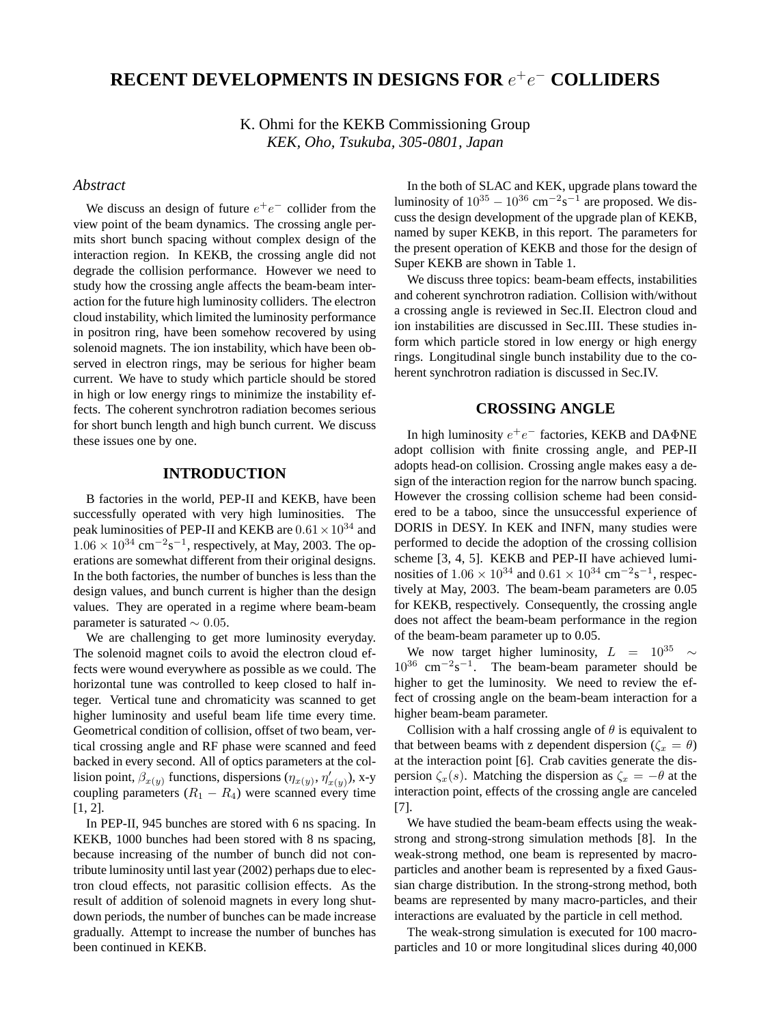# **RECENT DEVELOPMENTS IN DESIGNS FOR** e<sup>+</sup>e<sup>−</sup> **COLLIDERS**

K. Ohmi for the KEKB Commissioning Group *KEK, Oho, Tsukuba, 305-0801, Japan*

### *Abstract*

We discuss an design of future  $e^+e^-$  collider from the view point of the beam dynamics. The crossing angle permits short bunch spacing without complex design of the interaction region. In KEKB, the crossing angle did not degrade the collision performance. However we need to study how the crossing angle affects the beam-beam interaction for the future high luminosity colliders. The electron cloud instability, which limited the luminosity performance in positron ring, have been somehow recovered by using solenoid magnets. The ion instability, which have been observed in electron rings, may be serious for higher beam current. We have to study which particle should be stored in high or low energy rings to minimize the instability effects. The coherent synchrotron radiation becomes serious for short bunch length and high bunch current. We discuss these issues one by one.

### **INTRODUCTION**

B factories in the world, PEP-II and KEKB, have been successfully operated with very high luminosities. The peak luminosities of PEP-II and KEKB are  $0.61 \times 10^{34}$  and  $1.06 \times 10^{34}$  cm<sup>-2</sup>s<sup>-1</sup>, respectively, at May, 2003. The operations are somewhat different from their original designs. In the both factories, the number of bunches is less than the design values, and bunch current is higher than the design values. They are operated in a regime where beam-beam parameter is saturated  $\sim 0.05$ .

We are challenging to get more luminosity everyday. The solenoid magnet coils to avoid the electron cloud effects were wound everywhere as possible as we could. The horizontal tune was controlled to keep closed to half integer. Vertical tune and chromaticity was scanned to get higher luminosity and useful beam life time every time. Geometrical condition of collision, offset of two beam, vertical crossing angle and RF phase were scanned and feed backed in every second. All of optics parameters at the collision point,  $\beta_{x(y)}$  functions, dispersions  $(\eta_{x(y)}, \eta'_{x(y)})$ , x-y coupling parameters  $(R_1 - R_4)$  were scanned every time  $[1, 2]$ .

In PEP-II, 945 bunches are stored with 6 ns spacing. In KEKB, 1000 bunches had been stored with 8 ns spacing, because increasing of the number of bunch did not contribute luminosity until last year (2002) perhaps due to electron cloud effects, not parasitic collision effects. As the result of addition of solenoid magnets in every long shutdown periods, the number of bunches can be made increase gradually. Attempt to increase the number of bunches has been continued in KEKB.

In the both of SLAC and KEK, upgrade plans toward the luminosity of  $10^{35} - 10^{36}$  cm<sup>-2</sup>s<sup>-1</sup> are proposed. We discuss the design development of the upgrade plan of KEKB, named by super KEKB, in this report. The parameters for the present operation of KEKB and those for the design of Super KEKB are shown in Table 1.

We discuss three topics: beam-beam effects, instabilities and coherent synchrotron radiation. Collision with/without a crossing angle is reviewed in Sec.II. Electron cloud and ion instabilities are discussed in Sec.III. These studies inform which particle stored in low energy or high energy rings. Longitudinal single bunch instability due to the coherent synchrotron radiation is discussed in Sec.IV.

#### **CROSSING ANGLE**

In high luminosity  $e^+e^-$  factories, KEKB and DAΦNE adopt collision with finite crossing angle, and PEP-II adopts head-on collision. Crossing angle makes easy a design of the interaction region for the narrow bunch spacing. However the crossing collision scheme had been considered to be a taboo, since the unsuccessful experience of DORIS in DESY. In KEK and INFN, many studies were performed to decide the adoption of the crossing collision scheme [3, 4, 5]. KEKB and PEP-II have achieved luminosities of  $1.06 \times 10^{34}$  and  $0.61 \times 10^{34}$  cm<sup>-2</sup>s<sup>-1</sup>, respectively at May, 2003. The beam-beam parameters are 0.05 for KEKB, respectively. Consequently, the crossing angle does not affect the beam-beam performance in the region of the beam-beam parameter up to 0.05.

We now target higher luminosity,  $L = 10^{35} \sim$  $10^{36}$  cm<sup>-2</sup>s<sup>-1</sup>. The beam-beam parameter should be higher to get the luminosity. We need to review the effect of crossing angle on the beam-beam interaction for a higher beam-beam parameter.

Collision with a half crossing angle of  $\theta$  is equivalent to that between beams with z dependent dispersion ( $\zeta_x = \theta$ ) at the interaction point [6]. Crab cavities generate the dispersion  $\zeta_x(s)$ . Matching the dispersion as  $\zeta_x = -\theta$  at the interaction point, effects of the crossing angle are canceled [7].

We have studied the beam-beam effects using the weakstrong and strong-strong simulation methods [8]. In the weak-strong method, one beam is represented by macroparticles and another beam is represented by a fixed Gaussian charge distribution. In the strong-strong method, both beams are represented by many macro-particles, and their interactions are evaluated by the particle in cell method.

The weak-strong simulation is executed for 100 macroparticles and 10 or more longitudinal slices during 40,000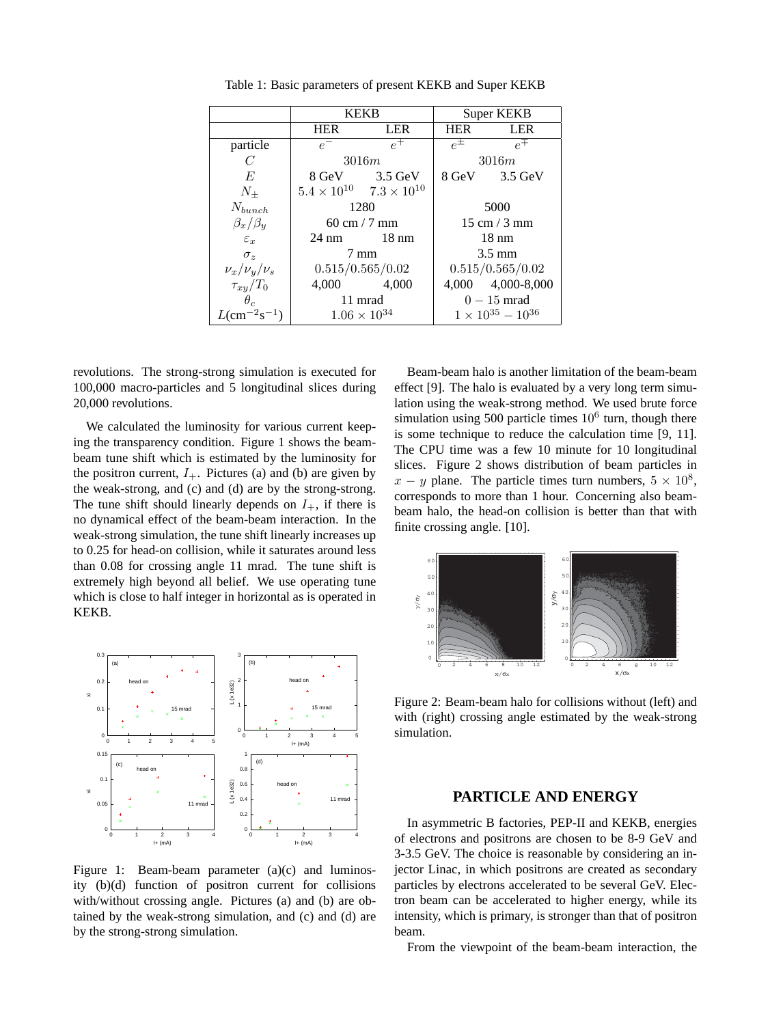|                                         | <b>KEKB</b>                    |                                           | Super KEKB                     |                   |
|-----------------------------------------|--------------------------------|-------------------------------------------|--------------------------------|-------------------|
|                                         | <b>HER</b>                     | <b>LER</b>                                | <b>HER</b>                     | <b>LER</b>        |
| particle                                | $e^-$                          | $\rho^+$                                  | $e^{\pm}$                      | $e^{\mp}$         |
| C                                       | 3016m                          |                                           | 3016m                          |                   |
| E                                       |                                | 8 GeV 3.5 GeV                             | 8 GeV                          | $3.5$ GeV         |
| $N_{+}$                                 |                                | $5.4 \times 10^{10}$ $7.3 \times 10^{10}$ |                                |                   |
| $N_{bunch}$                             | 1280                           |                                           | 5000                           |                   |
| $\beta_x/\beta_y$                       | $60 \text{ cm} / 7 \text{ mm}$ |                                           | $15 \text{ cm} / 3 \text{ mm}$ |                   |
| $\varepsilon_r$                         |                                | $24 \text{ nm}$ 18 nm                     | $18 \text{ nm}$                |                   |
| $\sigma_z$                              | $7 \text{ mm}$                 |                                           | $3.5 \text{ mm}$               |                   |
| $\nu_x/\nu_y/\nu_s$                     | 0.515/0.565/0.02               |                                           | 0.515/0.565/0.02               |                   |
| $\tau_{xy}/T_0$                         |                                | 4,000 4,000                               |                                | 4,000 4,000-8,000 |
| $\theta_c$                              | 11 mrad                        |                                           | $0-15$ mrad                    |                   |
| $L$ (cm <sup>-2</sup> s <sup>-1</sup> ) | $1.06 \times 10^{34}$          |                                           | $1 \times 10^{35} - 10^{36}$   |                   |

Table 1: Basic parameters of present KEKB and Super KEKB

revolutions. The strong-strong simulation is executed for 100,000 macro-particles and 5 longitudinal slices during 20,000 revolutions.

We calculated the luminosity for various current keeping the transparency condition. Figure 1 shows the beambeam tune shift which is estimated by the luminosity for the positron current,  $I_{+}$ . Pictures (a) and (b) are given by the weak-strong, and (c) and (d) are by the strong-strong. The tune shift should linearly depends on  $I_{+}$ , if there is no dynamical effect of the beam-beam interaction. In the weak-strong simulation, the tune shift linearly increases up to 0.25 for head-on collision, while it saturates around less than 0.08 for crossing angle 11 mrad. The tune shift is extremely high beyond all belief. We use operating tune which is close to half integer in horizontal as is operated in KEKB.



Figure 1: Beam-beam parameter (a)(c) and luminosity (b)(d) function of positron current for collisions with/without crossing angle. Pictures (a) and (b) are obtained by the weak-strong simulation, and (c) and (d) are by the strong-strong simulation.

Beam-beam halo is another limitation of the beam-beam effect [9]. The halo is evaluated by a very long term simulation using the weak-strong method. We used brute force simulation using 500 particle times  $10<sup>6</sup>$  turn, though there is some technique to reduce the calculation time [9, 11]. The CPU time was a few 10 minute for 10 longitudinal slices. Figure 2 shows distribution of beam particles in  $x - y$  plane. The particle times turn numbers,  $5 \times 10^8$ , corresponds to more than 1 hour. Concerning also beambeam halo, the head-on collision is better than that with finite crossing angle. [10].



Figure 2: Beam-beam halo for collisions without (left) and with (right) crossing angle estimated by the weak-strong simulation.

### **PARTICLE AND ENERGY**

In asymmetric B factories, PEP-II and KEKB, energies of electrons and positrons are chosen to be 8-9 GeV and 3-3.5 GeV. The choice is reasonable by considering an injector Linac, in which positrons are created as secondary particles by electrons accelerated to be several GeV. Electron beam can be accelerated to higher energy, while its intensity, which is primary, is stronger than that of positron beam.

From the viewpoint of the beam-beam interaction, the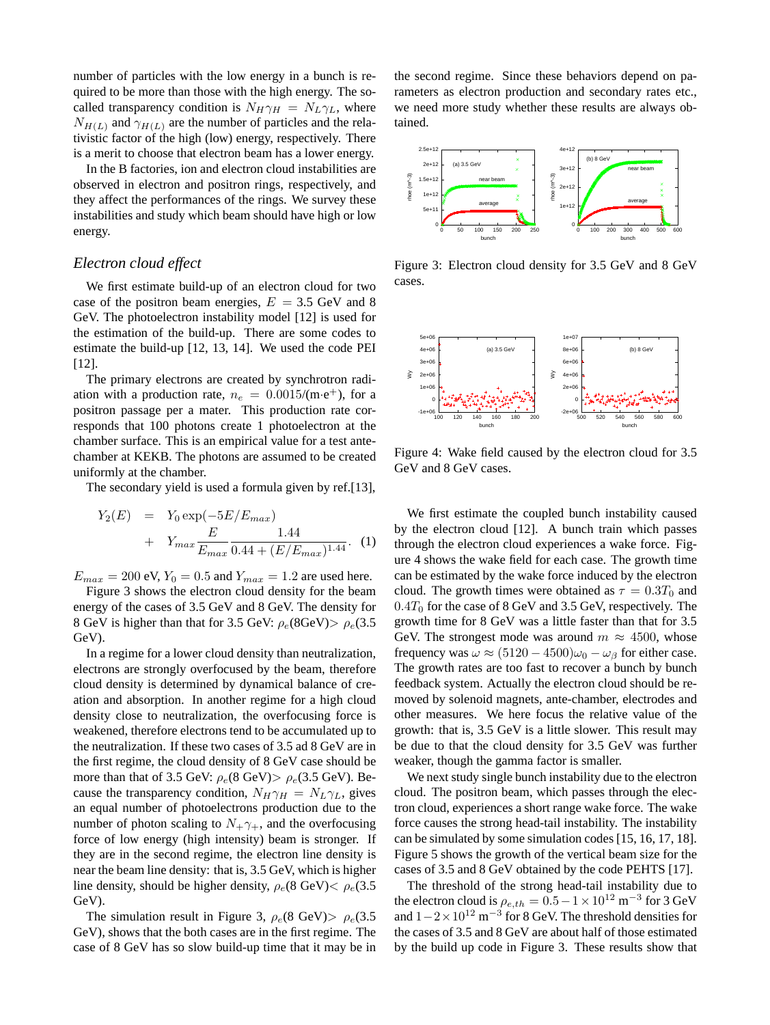number of particles with the low energy in a bunch is required to be more than those with the high energy. The socalled transparency condition is  $N_H \gamma_H = N_L \gamma_L$ , where  $N_{H(L)}$  and  $\gamma_{H(L)}$  are the number of particles and the relativistic factor of the high (low) energy, respectively. There is a merit to choose that electron beam has a lower energy.

In the B factories, ion and electron cloud instabilities are observed in electron and positron rings, respectively, and they affect the performances of the rings. We survey these instabilities and study which beam should have high or low energy.

#### *Electron cloud effect*

We first estimate build-up of an electron cloud for two case of the positron beam energies,  $E = 3.5$  GeV and 8 GeV. The photoelectron instability model [12] is used for the estimation of the build-up. There are some codes to estimate the build-up [12, 13, 14]. We used the code PEI [12].

The primary electrons are created by synchrotron radiation with a production rate,  $n_e = 0.0015/(m \cdot e^+)$ , for a positron passage per a mater. This production rate corresponds that 100 photons create 1 photoelectron at the chamber surface. This is an empirical value for a test antechamber at KEKB. The photons are assumed to be created uniformly at the chamber.

The secondary yield is used a formula given by ref.[13],

$$
Y_2(E) = Y_0 \exp(-5E/E_{max}) + Y_{max} \frac{E}{E_{max}} \frac{1.44}{0.44 + (E/E_{max})^{1.44}}.
$$
 (1)

 $E_{max} = 200 \text{ eV}, Y_0 = 0.5 \text{ and } Y_{max} = 1.2 \text{ are used here.}$ 

Figure 3 shows the electron cloud density for the beam energy of the cases of 3.5 GeV and 8 GeV. The density for 8 GeV is higher than that for 3.5 GeV:  $\rho_e(8GeV) > \rho_e(3.5)$ GeV).

In a regime for a lower cloud density than neutralization, electrons are strongly overfocused by the beam, therefore cloud density is determined by dynamical balance of creation and absorption. In another regime for a high cloud density close to neutralization, the overfocusing force is weakened, therefore electrons tend to be accumulated up to the neutralization. If these two cases of 3.5 ad 8 GeV are in the first regime, the cloud density of 8 GeV case should be more than that of 3.5 GeV:  $\rho_e(8 \text{ GeV}) > \rho_e(3.5 \text{ GeV})$ . Because the transparency condition,  $N_H \gamma_H = N_L \gamma_L$ , gives an equal number of photoelectrons production due to the number of photon scaling to  $N_+ \gamma_+$ , and the overfocusing force of low energy (high intensity) beam is stronger. If they are in the second regime, the electron line density is near the beam line density: that is, 3.5 GeV, which is higher line density, should be higher density,  $\rho_e(8 \text{ GeV}) < \rho_e(3.5)$ GeV).

The simulation result in Figure 3,  $\rho_e(8 \text{ GeV}) > \rho_e(3.5)$ GeV), shows that the both cases are in the first regime. The case of 8 GeV has so slow build-up time that it may be in

the second regime. Since these behaviors depend on parameters as electron production and secondary rates etc., we need more study whether these results are always obtained.



Figure 3: Electron cloud density for 3.5 GeV and 8 GeV cases.



Figure 4: Wake field caused by the electron cloud for 3.5 GeV and 8 GeV cases.

We first estimate the coupled bunch instability caused by the electron cloud [12]. A bunch train which passes through the electron cloud experiences a wake force. Figure 4 shows the wake field for each case. The growth time can be estimated by the wake force induced by the electron cloud. The growth times were obtained as  $\tau = 0.3T_0$  and  $0.4T_0$  for the case of 8 GeV and 3.5 GeV, respectively. The growth time for 8 GeV was a little faster than that for 3.5 GeV. The strongest mode was around  $m \approx 4500$ , whose frequency was  $\omega \approx (5120 - 4500)\omega_0 - \omega_\beta$  for either case. The growth rates are too fast to recover a bunch by bunch feedback system. Actually the electron cloud should be removed by solenoid magnets, ante-chamber, electrodes and other measures. We here focus the relative value of the growth: that is, 3.5 GeV is a little slower. This result may be due to that the cloud density for 3.5 GeV was further weaker, though the gamma factor is smaller.

We next study single bunch instability due to the electron cloud. The positron beam, which passes through the electron cloud, experiences a short range wake force. The wake force causes the strong head-tail instability. The instability can be simulated by some simulation codes [15, 16, 17, 18]. Figure 5 shows the growth of the vertical beam size for the cases of 3.5 and 8 GeV obtained by the code PEHTS [17].

The threshold of the strong head-tail instability due to the electron cloud is  $\rho_{e,th} = 0.5 - 1 \times 10^{12} \text{ m}^{-3}$  for 3 GeV and  $1-2\times10^{12}$  m<sup>-3</sup> for 8 GeV. The threshold densities for the cases of 3.5 and 8 GeV are about half of those estimated by the build up code in Figure 3. These results show that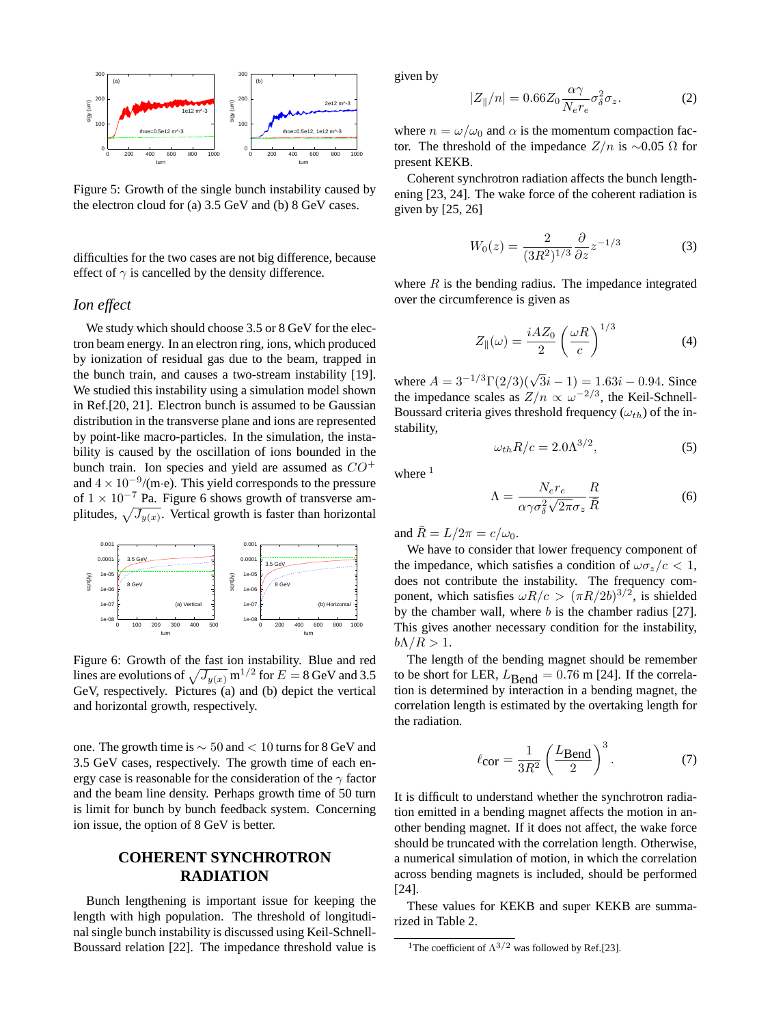

Figure 5: Growth of the single bunch instability caused by the electron cloud for (a) 3.5 GeV and (b) 8 GeV cases.

difficulties for the two cases are not big difference, because effect of  $\gamma$  is cancelled by the density difference.

#### *Ion effect*

We study which should choose 3.5 or 8 GeV for the electron beam energy. In an electron ring, ions, which produced by ionization of residual gas due to the beam, trapped in the bunch train, and causes a two-stream instability [19]. We studied this instability using a simulation model shown in Ref.[20, 21]. Electron bunch is assumed to be Gaussian distribution in the transverse plane and ions are represented by point-like macro-particles. In the simulation, the instability is caused by the oscillation of ions bounded in the bunch train. Ion species and yield are assumed as  $CO^+$ and  $4 \times 10^{-9}$ /(m·e). This yield corresponds to the pressure of  $1 \times 10^{-7}$  Pa. Figure 6 shows growth of transverse amplitudes,  $\sqrt{J_{y(x)}}$ . Vertical growth is faster than horizontal



Figure 6: Growth of the fast ion instability. Blue and red lines are evolutions of  $\sqrt{J_{y(x)}}$  m<sup>1/2</sup> for  $E = 8$  GeV and 3.5 GeV, respectively. Pictures (a) and (b) depict the vertical and horizontal growth, respectively.

one. The growth time is ∼ 50 and < 10 turns for 8 GeV and 3.5 GeV cases, respectively. The growth time of each energy case is reasonable for the consideration of the  $\gamma$  factor and the beam line density. Perhaps growth time of 50 turn is limit for bunch by bunch feedback system. Concerning ion issue, the option of 8 GeV is better.

## **COHERENT SYNCHROTRON RADIATION**

Bunch lengthening is important issue for keeping the length with high population. The threshold of longitudinal single bunch instability is discussed using Keil-Schnell-Boussard relation [22]. The impedance threshold value is given by

$$
|Z_{\parallel}/n| = 0.66 Z_0 \frac{\alpha \gamma}{N_e r_e} \sigma_\delta^2 \sigma_z.
$$
 (2)

where  $n = \omega/\omega_0$  and  $\alpha$  is the momentum compaction factor. The threshold of the impedance  $Z/n$  is ~0.05  $\Omega$  for present KEKB.

Coherent synchrotron radiation affects the bunch lengthening [23, 24]. The wake force of the coherent radiation is given by [25, 26]

$$
W_0(z) = \frac{2}{(3R^2)^{1/3}} \frac{\partial}{\partial z} z^{-1/3}
$$
 (3)

where  $R$  is the bending radius. The impedance integrated over the circumference is given as

$$
Z_{\parallel}(\omega) = \frac{i A Z_0}{2} \left(\frac{\omega R}{c}\right)^{1/3} \tag{4}
$$

where  $A = 3^{-1/3} \Gamma(2/3)(\sqrt{3}i - 1) = 1.63i - 0.94$ . Since the impedance scales as  $Z/n \propto \omega^{-2/3}$ , the Keil-Schnell-Boussard criteria gives threshold frequency  $(\omega_{th})$  of the instability,

$$
\omega_{th} R/c = 2.0 \Lambda^{3/2},\tag{5}
$$

where  $1$ 

$$
\Lambda = \frac{N_e r_e}{\alpha \gamma \sigma_{\delta}^2 \sqrt{2\pi} \sigma_z} \frac{R}{\bar{R}} \tag{6}
$$

and  $\bar{R} = L/2\pi = c/\omega_0$ .

We have to consider that lower frequency component of the impedance, which satisfies a condition of  $\omega \sigma_z/c < 1$ , does not contribute the instability. The frequency component, which satisfies  $\omega R/c > (\pi R/2b)^{3/2}$ , is shielded by the chamber wall, where  $b$  is the chamber radius [27]. This gives another necessary condition for the instability,  $b\Lambda/R > 1$ .

The length of the bending magnet should be remember to be short for LER,  $L_{\text{Bend}} = 0.76$  m [24]. If the correlation is determined by interaction in a bending magnet, the correlation length is estimated by the overtaking length for the radiation.

$$
\ell_{\text{cor}} = \frac{1}{3R^2} \left( \frac{L_{\text{Bend}}}{2} \right)^3. \tag{7}
$$

It is difficult to understand whether the synchrotron radiation emitted in a bending magnet affects the motion in another bending magnet. If it does not affect, the wake force should be truncated with the correlation length. Otherwise, a numerical simulation of motion, in which the correlation across bending magnets is included, should be performed [24].

These values for KEKB and super KEKB are summarized in Table 2.

<sup>&</sup>lt;sup>1</sup>The coefficient of  $\Lambda^{3/2}$  was followed by Ref.[23].